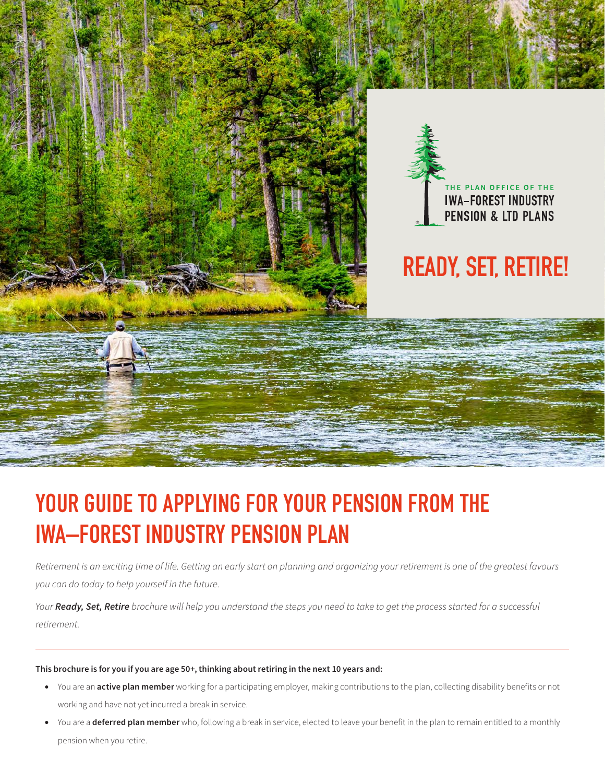

# **YOUR GUIDE TO APPLYING FOR YOUR PENSION FROM THE IWA–FOREST INDUSTRY PENSION PLAN**

*Retirement is an exciting time of life. Getting an early start on planning and organizing your retirement is one of the greatest favours you can do today to help yourself in the future.*

*Your Ready, Set, Retire brochure will help you understand the steps you need to take to get the process started for a successful retirement.*

#### **This brochure is for you if you are age 50+, thinking about retiring in the next 10 years and:**

- You are an **active plan member** working for a participating employer, making contributions to the plan, collecting disability benefits or not working and have not yet incurred a break in service.
- You are a **deferred plan member** who, following a break in service, elected to leave your benefit in the plan to remain entitled to a monthly pension when you retire.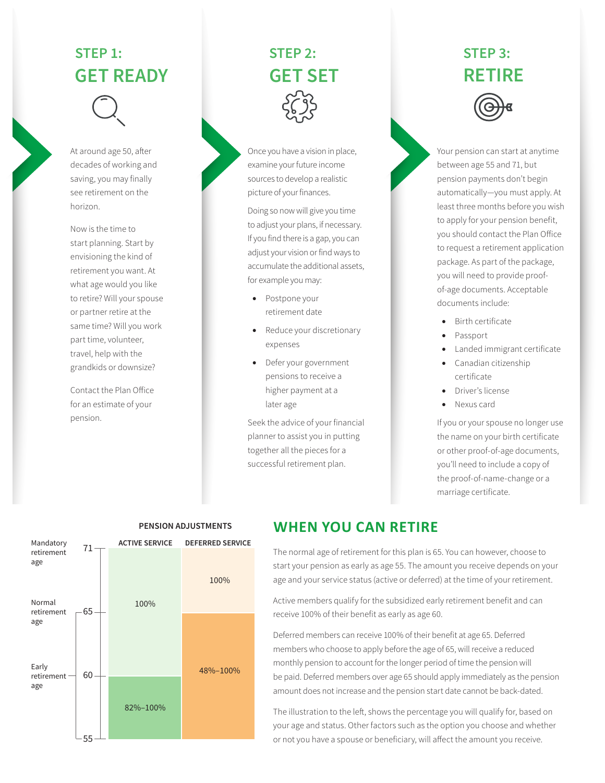# **STEP 1: GET READY**



At around age 50, after decades of working and saving, you may finally see retirement on the horizon.

Now is the time to start planning. Start by envisioning the kind of retirement you want. At what age would you like to retire? Will your spouse or partner retire at the same time? Will you work part time, volunteer, travel, help with the grandkids or downsize?

Contact the Plan Office for an estimate of your pension.

# **STEP 2: GET SET**

Once you have a vision in place, examine your future income sources to develop a realistic picture of your finances.

Doing so now will give you time to adjust your plans, if necessary. If you find there is a gap, you can adjust your vision or find ways to accumulate the additional assets, for example you may:

- Postpone your retirement date
- Reduce your discretionary expenses
- Defer your government pensions to receive a higher payment at a later age

Seek the advice of your financial planner to assist you in putting together all the pieces for a successful retirement plan.

# **STEP 3: RETIRE**



Your pension can start at anytime between age 55 and 71, but pension payments don't begin automatically—you must apply. At least three months before you wish to apply for your pension benefit, you should contact the Plan Office to request a retirement application package. As part of the package, you will need to provide proofof-age documents. Acceptable documents include:

- Birth certificate
- Passport
- Landed immigrant certificate
- Canadian citizenship certificate
- Driver's license
- Nexus card

If you or your spouse no longer use the name on your birth certificate or other proof-of-age documents, you'll need to include a copy of the proof-of-name-change or a marriage certificate.



#### **WHEN YOU CAN RETIRE PENSION ADJUSTMENTS**

The normal age of retirement for this plan is 65. You can however, choose to start your pension as early as age 55. The amount you receive depends on your age and your service status (active or deferred) at the time of your retirement.

Active members qualify for the subsidized early retirement benefit and can receive 100% of their benefit as early as age 60.

Deferred members can receive 100% of their benefit at age 65. Deferred members who choose to apply before the age of 65, will receive a reduced monthly pension to account for the longer period of time the pension will be paid. Deferred members over age 65 should apply immediately as the pension amount does not increase and the pension start date cannot be back-dated.

The illustration to the left, shows the percentage you will qualify for, based on your age and status. Other factors such as the option you choose and whether or not you have a spouse or beneficiary, will affect the amount you receive.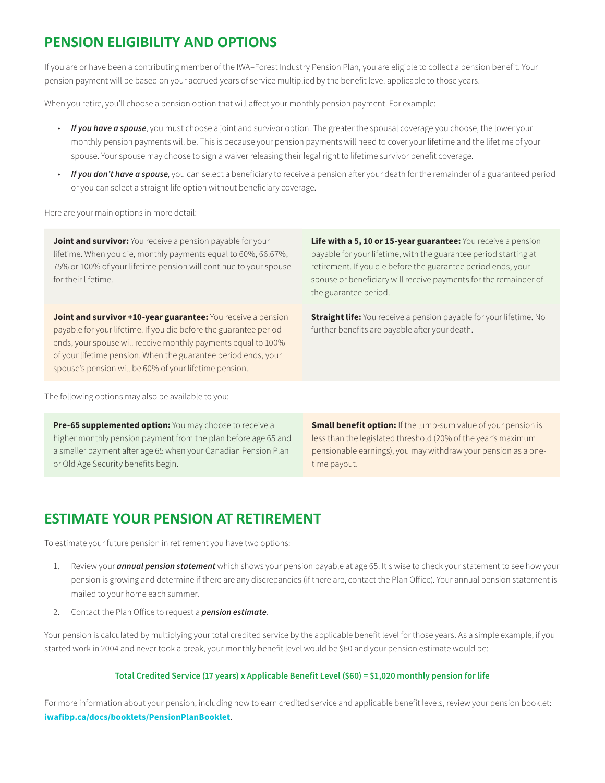## **PENSION ELIGIBILITY AND OPTIONS**

If you are or have been a contributing member of the IWA–Forest Industry Pension Plan, you are eligible to collect a pension benefit. Your pension payment will be based on your accrued years of service multiplied by the benefit level applicable to those years.

When you retire, you'll choose a pension option that will affect your monthly pension payment. For example:

- *If you have a spouse*, you must choose a joint and survivor option. The greater the spousal coverage you choose, the lower your monthly pension payments will be. This is because your pension payments will need to cover your lifetime and the lifetime of your spouse. Your spouse may choose to sign a waiver releasing their legal right to lifetime survivor benefit coverage.
- *If you don't have a spouse*, you can select a beneficiary to receive a pension after your death for the remainder of a guaranteed period or you can select a straight life option without beneficiary coverage.

Here are your main options in more detail:

**Joint and survivor:** You receive a pension payable for your lifetime. When you die, monthly payments equal to 60%, 66.67%, 75% or 100% of your lifetime pension will continue to your spouse for their lifetime.

**Joint and survivor +10-year guarantee:** You receive a pension payable for your lifetime. If you die before the guarantee period ends, your spouse will receive monthly payments equal to 100% of your lifetime pension. When the guarantee period ends, your spouse's pension will be 60% of your lifetime pension.

**Life with a 5, 10 or 15-year guarantee:** You receive a pension payable for your lifetime, with the guarantee period starting at retirement. If you die before the guarantee period ends, your spouse or beneficiary will receive payments for the remainder of the guarantee period.

**Straight life:** You receive a pension payable for your lifetime. No further benefits are payable after your death.

The following options may also be available to you:

**Pre-65 supplemented option:** You may choose to receive a higher monthly pension payment from the plan before age 65 and a smaller payment after age 65 when your Canadian Pension Plan or Old Age Security benefits begin.

**Small benefit option:** If the lump-sum value of your pension is less than the legislated threshold (20% of the year's maximum pensionable earnings), you may withdraw your pension as a onetime payout.

## **ESTIMATE YOUR PENSION AT RETIREMENT**

To estimate your future pension in retirement you have two options:

- 1. Review your *annual pension statement* which shows your pension payable at age 65. It's wise to check your statement to see how your pension is growing and determine if there are any discrepancies (if there are, contact the Plan Office). Your annual pension statement is mailed to your home each summer.
- 2. [Contact the Plan Office t](http://www.iwafibp.ca/contact-us)o request a *pension estimate*.

Your pension is calculated by multiplying your total credited service by the applicable benefit level for those years. As a simple example, if you started work in 2004 and never took a break, your monthly benefit level would be \$60 and your pension estimate would be:

#### **Total Credited Service (17 years) x Applicable Benefit Level (\$60) = \$1,020 monthly pension for life**

For more information about your pension, including how to earn credited service and applicable benefit levels, review your pension booklet: **[iwafibp.ca/docs/booklets/PensionPlanBooklet](http://www.iwafibp.ca/docs/booklets/PensionPlanBooklet.pdf)**.